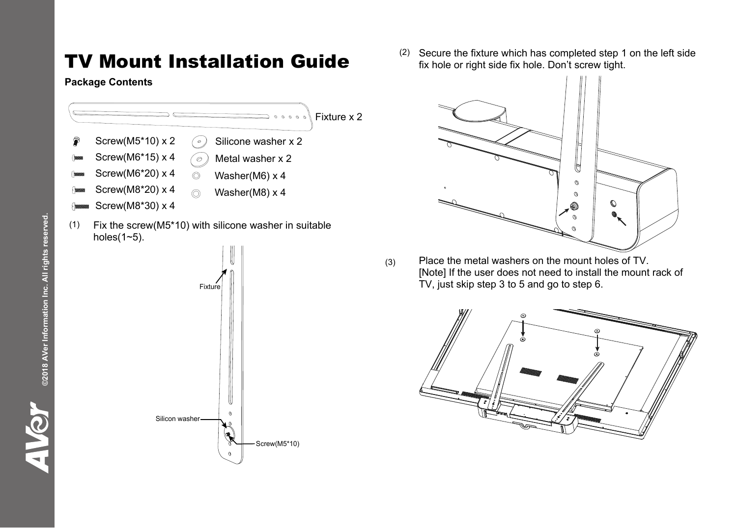## TV Mount Installation Guide

## **Package Contents**



(2) Secure the fixture which has completed step 1 on the left side fix hole or right side fix hole. Don't screw tight.



(3) Place the metal washers on the mount holes of TV. [Note] If the user does not need to install the mount rack of TV, just skip step 3 to 5 and go to step 6.



**AIGY**